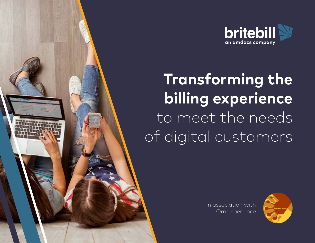

# **Transforming the billing experience**  to meet the needs of digital customers

In association with **Omnisperience** 

© 2018 BriteBill, an Amdocs company. All Rights Reserved.

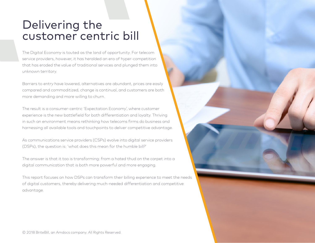# Delivering the customer centric bill

The Digital Economy is touted as the land of opportunity. For telecom service providers, however, it has heralded an era of hyper-competition that has eroded the value of traditional services and plunged them into unknown territory.

Barriers to entry have lowered, alternatives are abundant, prices are easily compared and commoditized, change is continual, and customers are both more demanding and more willing to churn.

The result is a consumer-centric 'Expectation Economy', where customer experience is the new battlefield for both differentiation and loyalty. Thriving in such an environment means rethinking how telecoms firms do business and harnessing all available tools and touchpoints to deliver competitive advantage.

As communications service providers (CSPs) evolve into digital service providers (DSPs), the question is: 'what does this mean for the humble bill?'

The answer is that it too is transforming: from a hated thud on the carpet into a digital communication that is both more powerful and more engaging.

This report focuses on how DSPs can transform their billing experience to meet the needs of digital customers, thereby delivering much-needed differentiation and competitive advantage.

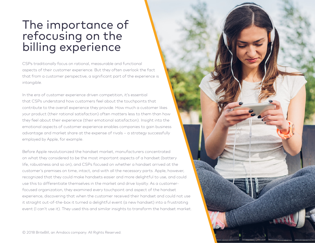# The importance of refocusing on the billing experience

CSPs traditionally focus on rational, measurable and functional aspects of their customer experience. But they often overlook the fact that from a customer perspective, a significant part of the experience is intangible.

In the era of customer experience driven competition, it's essential that CSPs understand how customers feel about the touchpoints that contribute to the overall experience they provide. How much a customer likes your product (their rational satisfaction) often matters less to them than how they feel about their experience (their emotional satisfaction). Insight into the emotional aspects of customer experience enables companies to gain business advantage and market share at the expense of rivals – a strategy successfully employed by Apple, for example.

Before Apple revolutionized the handset market, manufacturers concentrated on what they considered to be the most important aspects of a handset (battery life, robustness and so on), and CSPs focused on whether a handset arrived at the customer's premises on time, intact, and with all the necessary parts. Apple, however, recognized that they could make handsets easier and more delightful to use, and could use this to differentiate themselves in the market and drive loyalty. As a customerfocused organization, they examined every touchpoint and aspect of the handset experience, discovering that when the customer received their handset and could not use it straight out-of-the-box it turned a delightful event (a new handset) into a frustrating event (I can't use it). They used this and similar insights to transform the handset market.

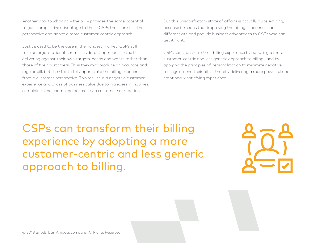Another vital touchpoint – the bill – provides the same potential to gain competitive advantage to those CSPs that can shift their perspective and adopt a more customer-centric approach.

Just as used to be the case in the handset market, CSPs still take an organizational-centric, inside-out approach to the bill – delivering against their own targets, needs and wants rather than those of their customers. Thus they may produce an accurate and regular bill, but they fail to fully appreciate the billing experience from a customer perspective. This results in a negative customer experience and a loss of business value due to increases in inquiries, complaints and churn, and decreases in customer satisfaction.

But this unsatisfactory state of affairs is actually quite exciting, because it means that improving the billing experience can differentiate and provide business advantages to CSPs who can get it right.

CSPs can transform their billing experience by adopting a more customer-centric and less generic approach to billing, and by applying the principles of personalization to minimize negative feelings around their bills – thereby delivering a more powerful and emotionally satisfying experience.

CSPs can transform their billing experience by adopting a more customer-centric and less generic approach to billing.

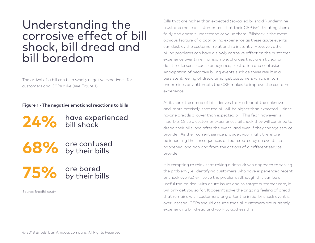## Understanding the corrosive effect of bill shock, bill dread and bill boredom

The arrival of a bill can be a wholly negative experience for customers and CSPs alike (see Figure 1).

#### **Figure 1 - The negative emotional reactions to bills**

have experienced bill shock **24%** 

**68%** are confused<br>**68%** by their bills

75% are bored<br> **75%** by their bills

Source: BriteBill study

Bills that are higher than expected (so-called billshock) undermine trust and make a customer feel that their CSP isn't treating them fairly and doesn't understand or value them. Billshock is the most obvious feature of a poor billing experience as these acute events can destroy the customer relationship instantly. However, other billing problems can have a slowly corrosive effect on the customer experience over time. For example, charges that aren't clear or don't make sense cause annoyance, frustration and confusion. Anticipation of negative billing events such as these result in a persistent feeling of dread amongst customers which, in turn, undermines any attempts the CSP makes to improve the customer experience.

At its core, the dread of bills derives from a fear of the unknown and, more precisely, that the bill will be higher than expected – since no-one dreads a lower than expected bill. This fear, however, is indelible. Once a customer experiences billshock they will continue to dread their bills long after the event, and even if they change service provider. As their current service provider, you might therefore be inheriting the consequences of fear created by an event that happened long ago and from the actions of a different service provider.

It is tempting to think that taking a data-driven approach to solving the problem (i.e. identifying customers who have experienced recent billshock events) will solve the problem. Although this can be a useful tool to deal with acute issues and to target customer care, it will only get you so far. It doesn't solve the ongoing feeling of dread that remains with customers long after the initial billshock event is over. Instead, CSPs should assume that all customers are currently experiencing bill dread and work to address this.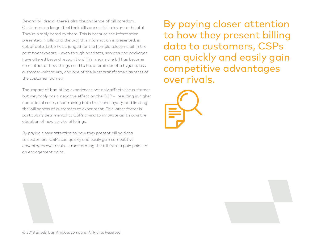Beyond bill dread, there's also the challenge of bill boredom. Customers no longer feel their bills are useful, relevant or helpful. They're simply bored by them. This is because the information presented in bills, and the way this information is presented, is out of date. Little has changed for the humble telecoms bill in the past twenty years – even though handsets, services and packages have altered beyond recognition. This means the bill has become an artifact of how things used to be, a reminder of a bygone, less customer-centric era, and one of the least transformed aspects of the customer journey.

The impact of bad billing experiences not only affects the customer, but inevitably has a negative effect on the CSP – resulting in higher operational costs, undermining both trust and loyalty, and limiting the willingness of customers to experiment. This latter factor is particularly detrimental to CSPs trying to innovate as it slows the adoption of new service offerings.

By paying closer attention to how they present billing data to customers, CSPs can quickly and easily gain competitive advantages over rivals – transforming the bill from a pain point to an engagement point.

By paying closer attention to how they present billing data to customers, CSPs can quickly and easily gain competitive advantages over rivals.



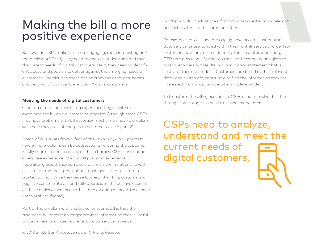# Making the bill a more positive experience

So how can CSPs make bills more engaging, more interesting and more relevant? Firstly, they need to analyze, understand and meet the current needs of digital customers. Next, they need to identify, anticipate and position to deliver against the emerging needs of customers – particularly those arising from the attitudes, habits and behavior of younger Generation Y and Z customers.

#### **Meeting the needs of digital customers**

Creating a more positive billing experience, begins with reexamining the bill as a customer touchpoint. Although some CSPs may have problems with bill accuracy, most simply have a problem with how they present charges to customers (see Figure 2).

Dread of bills arises from a fear of the unknown, which points to how billing problems can be addressed. By ensuring the customer is fully informed and in control of their charges, CSPs can change a negative experience into a loyalty building experience. By neutralizing dread, they can also transform their relationship with customers from being that of an impersonal seller to that of a trusted advisor. Once they cease to dread their bills, customers will begin to concentrate on, and fully appreciate, the positive aspects of their service experience, rather than dwelling on negative aspects (both real and feared).

Part of the problem with the typical telecoms bill is that the traditional bill format no longer provides information that is useful to customers, and does not reflect digital service provision.

In other words, much of the information provided is now irrelevant and just clutters up the communication.

For example, as calls and messaging have become just another data service, or are bundled within the monthly service charge, few customers have any interest in line after line of itemized charges. CSPs are providing information that has become meaningless to most customers but results in a long, boring statement that is costly for them to produce. Customers are bored by the irrelevant detail and switch off, or struggle to find the information they are interested in amongst an overwhelming level of detail.

To transform the billing experience, CSPs need to evolve their bills through three stages to build trust and engagement.

CSPs need to analyze, understand and meet the current needs of digital customers.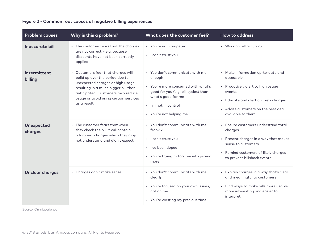| <b>Problem causes</b>        | Why is this a problem?                                                                                                                                                                                                                          | What does the customer feel?                                                                                                                                                                      | How to address                                                                                                                                                                                      |
|------------------------------|-------------------------------------------------------------------------------------------------------------------------------------------------------------------------------------------------------------------------------------------------|---------------------------------------------------------------------------------------------------------------------------------------------------------------------------------------------------|-----------------------------------------------------------------------------------------------------------------------------------------------------------------------------------------------------|
| <b>Inaccurate bill</b>       | • The customer fears that the charges<br>are not correct - e.g. because<br>discounts have not been correctly<br>applied                                                                                                                         | • You're not competent<br>· I can't trust you                                                                                                                                                     | • Work on bill accuracy                                                                                                                                                                             |
| Intermittent<br>billing      | • Customers fear that charges will<br>build up over the period due to<br>unexpected charges or high usage,<br>resulting in a much bigger bill than<br>anticipated. Customers may reduce<br>usage or avoid using certain services<br>as a result | • You don't communicate with me<br>enough<br>• You're more concerned with what's<br>good for you (e.g. bill cycles) than<br>what's good for me<br>· I'm not in control<br>• You're not helping me | • Make information up-to-date and<br>accessible<br>• Proactively alert to high usage<br>events<br>• Educate and alert on likely charges<br>• Advise customers on the best deal<br>available to them |
| <b>Unexpected</b><br>charges | • The customer fears that when<br>they check the bill it will contain<br>additional charges which they may<br>not understand and didn't expect                                                                                                  | • You don't communicate with me<br>frankly<br>· I can't trust you<br>· I've been duped<br>• You're trying to fool me into paying<br>more                                                          | • Ensure customers understand total<br>charges<br>• Present charges in a way that makes<br>sense to customers<br>• Remind customers of likely charges<br>to prevent billshock events                |
| <b>Unclear charges</b>       | • Charges don't make sense                                                                                                                                                                                                                      | • You don't communicate with me<br>clearly<br>• You're focused on your own issues,<br>not on me<br>• You're wasting my precious time                                                              | • Explain charges in a way that's clear<br>and meaningful to customers<br>· Find ways to make bills more usable,<br>more interesting and easier to<br>interpret                                     |

#### **Figure 2 - Common root causes of negative billing experiences**

Source: Omnisperience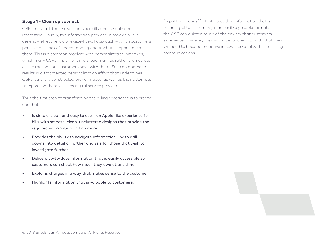#### **Stage 1 - Clean up your act**

CSPs must ask themselves: are your bills clear, usable and interesting. Usually, the information provided in today's bills is generic – effectively, a one-size-fits-all approach – which customers perceive as a lack of understanding about what's important to them. This is a common problem with personalization initiatives, which many CSPs implement in a siloed manner, rather than across all the touchpoints customers have with them. Such an approach results in a fragmented personalization effort that undermines CSPs' carefully constructed brand images, as well as their attempts to reposition themselves as digital service providers.

Thus the first step to transforming the billing experience is to create one that:

- Is simple, clean and easy to use an Apple-like experience for bills with smooth, clean, uncluttered designs that provide the required information and no more
- Provides the ability to navigate information with drilldowns into detail or further analysis for those that wish to investigate further
- Delivers up-to-date information that is easily accessible so customers can check how much they owe at any time
- Explains charges in a way that makes sense to the customer
- Highlights information that is valuable to customers.

By putting more effort into providing information that is meaningful to customers, in an easily digestible format, the CSP can quieten much of the anxiety that customers experience. However, they will not extinguish it. To do that they will need to become proactive in how they deal with their billing communications.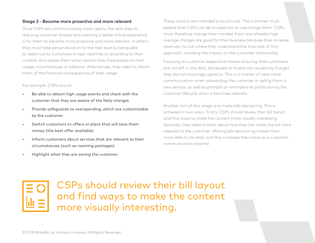#### **Stage 2 - Become more proactive and more relevant**

Once CSPs are communicating more clearly, the next step to reducing customer anxiety and creating a better billing experience is for them to become more proactive and more relevant. In effect, they must take personalization to the next level by being able to reach out to customers in near realtime, or according to their context, and advise them what options they have based on their usage, circumstances or behavior. Alternatively, they need to inform them of the financial consequences of their usage.

#### For example, CSPs should:

- Be able to detect high usage events and check with the customer that they are aware of the likely charges
- Provide safeguards to overspending, which are customizable by the customer
- Switch customers to offers or plans that will save them money (the best offer available)
- Inform customers about services that are relevant to their circumstances (such as roaming packages)
- Highlight what they are saving the customer.

These actions are intended to build trust. The customer must believe that CSPs can be trusted not to overcharge them. CSPs must therefore change their mindset from one whereby high overage charges are good for their business because they increase revenues, to one where they understand the true cost of this approach, including the impact on the customer relationship.

Focusing on customer experience means ensuring that customers are not left in the dark, blindsided or fooled into accepting charges they did not knowingly agree to. This is a matter of clear initial communication when onboarding the customer or selling them a new service, as well as prompts or reminders at points during the customer lifecycle when it becomes relevant.

Another aim of this stage is to make bills less boring. This is achieved in two ways. Firstly, CSPs should review their bill layout and find ways to make the content more visually interesting. Secondly, they need to think about how they can make the bill more relevant to the customer. Making bills less boring makes them more likely to be read, and this increases their value as a customer communication channel.

### CSPs should review their bill layout and find ways to make the content more visually interesting.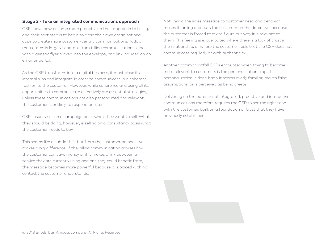#### **Stage 3 - Take an integrated communications approach**

CSPs have now become more proactive in their approach to billing, and their next step is to begin to close their own organizational gaps to create more customer-centric communications. Today, marcomms is largely separate from billing communications, albeit with a generic flyer tucked into the envelope, or a link included on an email or portal.

As the CSP transforms into a digital business, it must close its internal silos and integrate in order to communicate in a coherent fashion to the customer. However, while coherence and using all its opportunities to communicate effectively are essential strategies, unless these communications are also personalized and relevant, the customer is unlikely to respond or listen.

CSPs usually sell on a campaign basis what they want to sell. What they should be doing, however, is selling on a consultancy basis what the customer needs to buy.

This seems like a subtle shift but from the customer perspective makes a big difference. If the billing communication advises how the customer can save money or if it makes a link between a service they are currently using and one they could benefit from, the message becomes more powerful because it is placed within a context the customer understands.

Not linking the sales message to customer need and behavior makes it jarring and puts the customer on the defensive, because the customer is forced to try to figure out why it is relevant to them. This feeling is exacerbated where there is a lack of trust in the relationship, or where the customer feels that the CSP does not communicate regularly or with authenticity.

Another common pitfall CSPs encounter when trying to become more relevant to customers is the personalization trap. If personalization is done badly it seems overly familiar, makes false assumptions, or is perceived as being creepy.

Delivering on the potential of integrated, proactive and interactive communications therefore requires the CSP to set the right tone with the customer, built on a foundation of trust that they have previously established.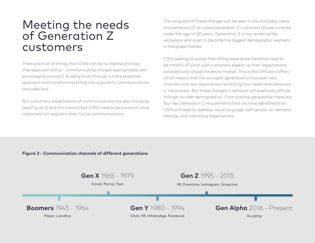## Meeting the needs of Generation Z customers

There are a lot of things that CSPs can do to improve the way they approach billing – communicating charges appropriately and encouraging payment, building trust through a more proactive approach and transforming billing into a powerful communications and sales tool.

But customers' expectations of communications are also changing (see Figure 3) and this means that CSPs need to be aware of what customers will require in their future communications.

The vanguard of these changes can be seen in the attitudes, views and behaviors of so-called Generation Z customers (those currently under the age of 22) years. Generation Z is now entering the workplace and is set to become the biggest demographic segment in the global market.

CSPs seeking to evolve their billing experience therefore need to be mindful of what such customers expect, as their expectations will eventually shape the entire market. This is the Diffusion Effect, which means that the youngest generation will pioneer new channels and new applications, exhibiting new needs and behaviors in the process. But these changes in behavior will eventually diffuse through to older demographics. From a billing perspective there are four key Generation Z requirements that we have identified that CSPs will need to address: visual language, self-service, on-demand lifestyle, and interactive expectations.

#### **Figure 3 - Communication channels of different generations**

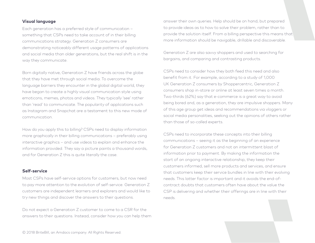#### **Visual language**

Each generation has a preferred style of communication – something that CSPs need to take account of in their billing communications strategy. Generation Z consumers are demonstrating noticeably different usage patterns of applications and social media than older generations, but the real shift is in the way they communicate.

Born digitally native, Generation Z have friends across the globe that they have met through social media. To overcome the language barriers they encounter in the global digital world, they have began to create a highly visual communication style using emoticons, memes, photos and videos. They typically 'see' rather than 'read' to communicate. The popularity of applications such as Instagram and Snapchat are a testament to this new mode of communication.

How do you apply this to billing? CSPs need to display information more graphically in their billing communications – preferably using interactive graphics – and use videos to explain and enhance the information provided. They say a picture paints a thousand words, and for Generation Z this is quite literally the case.

#### **Self-service**

Most CSPs have self-service options for customers, but now need to pay more attention to the evolution of self-service. Generation Z customers are independent learners and explorers and would like to try new things and discover the answers to their questions.

Do not expect a Generation Z customer to come to a CSR for the answers to their questions. Instead, consider how you can help them

answer their own queries. Help should be on hand, but prepared to provide ideas as to how to solve their problem, rather than to provide the solution itself. From a billing perspective this means that more information should be navigable, drillable and discoverable.

Generation Z are also savvy shoppers and used to searching for bargains, and comparing and contrasting products.

CSPs need to consider how they both feed this need and also benefit from it. For example, according to a study of 1,000 UK Generation Z consumers by Shoppercentric, Generation Z consumers shop in-store or online at least seven times a month. Two-thirds (62%) say that e-commerce is a great way to avoid being bored and, as a generation, they are impulsive shoppers. Many of this age group get ideas and recommendations via vloggers or social media personalities, seeking out the opinions of others rather than those of so-called experts.

CSPs need to incorporate these concepts into their billing communications – seeing it as the beginning of an experience for Generation Z customers and not an intermittent blast of information prior to payment. By making the information the start of an ongoing interactive relationship, they keep their customers informed, sell more products and services, and ensure that customers keep their service bundles in line with their evolving needs. This latter factor is important and it avoids the end-ofcontract doubts that customers often have about the value the CSP is delivering and whether their offerings are in line with their needs.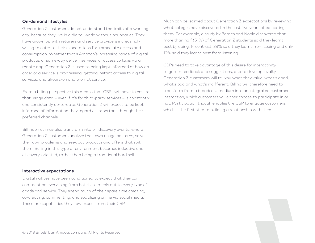#### **On-demand lifestyles**

Generation Z customers do not understand the limits of a working day, because they live in a digital world without boundaries. They have grown up with retailers and service providers increasingly willing to cater to their expectations for immediate access and consumption. Whether that's Amazon's increasing range of digital products, or same-day delivery services, or access to taxis via a mobile app, Generation Z is used to being kept informed of how an order or a service is progressing, getting instant access to digital services, and always-on and prompt service.

From a billing perspective this means that CSPs will have to ensure that usage data – even if it's for third-party services – is constantly and consistently up-to-date. Generation Z will expect to be kept informed of information they regard as important through their preferred channels.

Bill inquiries may also transform into bill discovery events, where Generation Z customers analyze their own usage patterns, solve their own problems and seek out products and offers that suit them. Selling in this type of environment becomes inductive and discovery-oriented, rather than being a traditional hard sell.

#### **Interactive expectations**

Digital natives have been conditioned to expect that they can comment on everything from hotels, to meals out to every type of goods and service. They spend much of their spare time creating, co-creating, commenting, and socializing online via social media. These are capabilities they now expect from their CSP.

Much can be learned about Generation Z expectations by reviewing what colleges have discovered in the last five years of educating them. For example, a study by Barnes and Noble discovered that more than half (51%) of Generation Z students said they learnt best by doing. In contrast, 38% said they learnt from seeing and only 12% said they learnt best from listening.

CSPs need to take advantage of this desire for interactivity to garner feedback and suggestions, and to drive up loyalty. Generation Z customers will tell you what they value, what's good, what's bad and what's indifferent. Billing will therefore need to transform from a broadcast medium into an integrated customer interaction, which customers will either choose to participate in or not. Participation though enables the CSP to engage customers, which is the first step to building a relationship with them